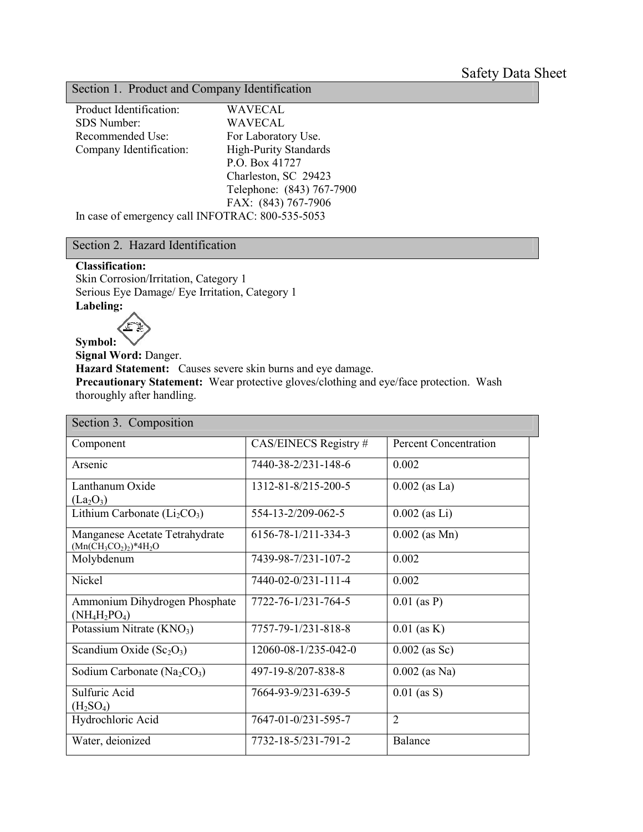# Section 1. Product and Company Identification

| Product Identification:                          | <b>WAVECAL</b>               |  |
|--------------------------------------------------|------------------------------|--|
| SDS Number:                                      | <b>WAVECAL</b>               |  |
| Recommended Use:                                 | For Laboratory Use.          |  |
| Company Identification:                          | <b>High-Purity Standards</b> |  |
|                                                  | P.O. Box 41727               |  |
|                                                  | Charleston, SC 29423         |  |
|                                                  | Telephone: (843) 767-7900    |  |
|                                                  | FAX: (843) 767-7906          |  |
| In case of emergency call INFOTRAC: 800-535-5053 |                              |  |

## Section 2. Hazard Identification

#### **Classification:**

Skin Corrosion/Irritation, Category 1 Serious Eye Damage/ Eye Irritation, Category 1 **Labeling:**



**Symbol: Signal Word:** Danger. **Hazard Statement:** Causes severe skin burns and eye damage. **Precautionary Statement:** Wear protective gloves/clothing and eye/face protection. Wash thoroughly after handling.

| Section 3. Composition                                     |                      |                              |
|------------------------------------------------------------|----------------------|------------------------------|
| Component                                                  | CAS/EINECS Registry# | <b>Percent Concentration</b> |
| Arsenic                                                    | 7440-38-2/231-148-6  | 0.002                        |
| Lanthanum Oxide<br>$(La_2O_3)$                             | 1312-81-8/215-200-5  | $0.002$ (as La)              |
| Lithium Carbonate $(Li_2CO_3)$                             | 554-13-2/209-062-5   | $0.002$ (as Li)              |
| Manganese Acetate Tetrahydrate<br>$(Mn(CH_3CO_2)_2)*4H_2O$ | 6156-78-1/211-334-3  | $0.002$ (as Mn)              |
| Molybdenum                                                 | 7439-98-7/231-107-2  | 0.002                        |
| Nickel                                                     | 7440-02-0/231-111-4  | 0.002                        |
| Ammonium Dihydrogen Phosphate<br>$(NH_4H_2PO_4)$           | 7722-76-1/231-764-5  | $0.01$ (as P)                |
| Potassium Nitrate $(KNO3)$                                 | 7757-79-1/231-818-8  | $0.01$ (as K)                |
| Scandium Oxide $(Sc_2O_3)$                                 | 12060-08-1/235-042-0 | $0.002$ (as Sc)              |
| Sodium Carbonate ( $Na2CO3$ )                              | 497-19-8/207-838-8   | $0.002$ (as Na)              |
| Sulfuric Acid<br>(H <sub>2</sub> SO <sub>4</sub> )         | 7664-93-9/231-639-5  | $0.01$ (as S)                |
| Hydrochloric Acid                                          | 7647-01-0/231-595-7  | $\overline{2}$               |
| Water, deionized                                           | 7732-18-5/231-791-2  | Balance                      |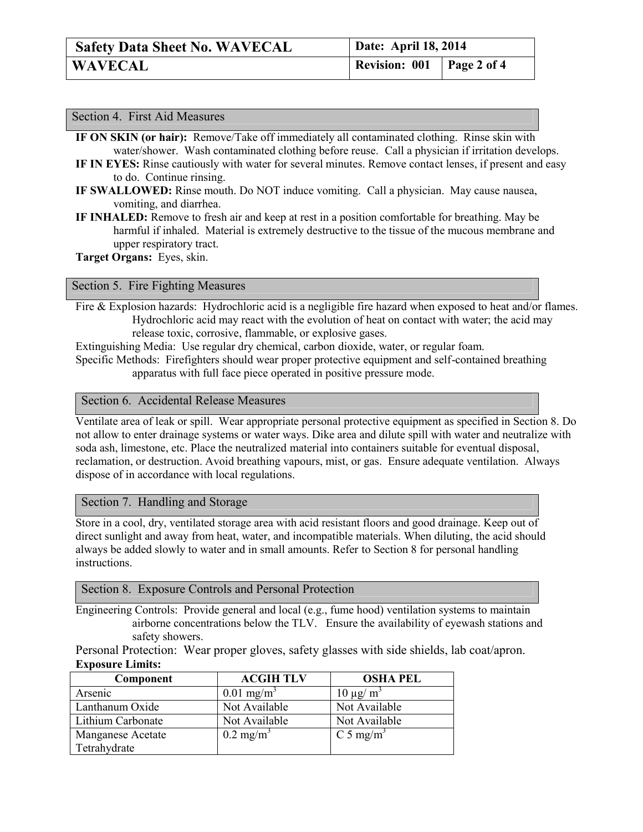| <b>Safety Data Sheet No. WAVECAL</b> | Date: April 18, 2014               |  |
|--------------------------------------|------------------------------------|--|
| <b>WAVECAL</b>                       | <b>Revision: 001</b>   Page 2 of 4 |  |

| Section 4. First Aid Measures                                                                           |  |
|---------------------------------------------------------------------------------------------------------|--|
| IF ON SKIN (or hair): Remove/Take off immediately all contaminated clothing. Rinse skin with            |  |
| water/shower. Wash contaminated clothing before reuse. Call a physician if irritation develops.         |  |
| IF IN EYES: Rinse cautiously with water for several minutes. Remove contact lenses, if present and easy |  |
| to do. Continue rinsing.                                                                                |  |

- **IF SWALLOWED:** Rinse mouth. Do NOT induce vomiting. Call a physician. May cause nausea, vomiting, and diarrhea.
- **IF INHALED:** Remove to fresh air and keep at rest in a position comfortable for breathing. May be harmful if inhaled. Material is extremely destructive to the tissue of the mucous membrane and upper respiratory tract.

**Target Organs:** Eyes, skin.

#### Section 5. Fire Fighting Measures

Fire & Explosion hazards: Hydrochloric acid is a negligible fire hazard when exposed to heat and/or flames. Hydrochloric acid may react with the evolution of heat on contact with water; the acid may release toxic, corrosive, flammable, or explosive gases.

Extinguishing Media: Use regular dry chemical, carbon dioxide, water, or regular foam. Specific Methods: Firefighters should wear proper protective equipment and self-contained breathing apparatus with full face piece operated in positive pressure mode.

## Section 6. Accidental Release Measures

Ventilate area of leak or spill. Wear appropriate personal protective equipment as specified in Section 8. Do not allow to enter drainage systems or water ways. Dike area and dilute spill with water and neutralize with soda ash, limestone, etc. Place the neutralized material into containers suitable for eventual disposal, reclamation, or destruction. Avoid breathing vapours, mist, or gas. Ensure adequate ventilation. Always dispose of in accordance with local regulations.

## Section 7. Handling and Storage

Store in a cool, dry, ventilated storage area with acid resistant floors and good drainage. Keep out of direct sunlight and away from heat, water, and incompatible materials. When diluting, the acid should always be added slowly to water and in small amounts. Refer to Section 8 for personal handling instructions.

Section 8. Exposure Controls and Personal Protection

Engineering Controls: Provide general and local (e.g., fume hood) ventilation systems to maintain airborne concentrations below the TLV. Ensure the availability of eyewash stations and safety showers.

Personal Protection: Wear proper gloves, safety glasses with side shields, lab coat/apron. **Exposure Limits:**

| Component         | <b>ACGIH TLV</b>         | <b>OSHA PEL</b>       |
|-------------------|--------------------------|-----------------------|
| Arsenic           | $0.01$ mg/m <sup>3</sup> | $10 \mu g/m^3$        |
| Lanthanum Oxide   | Not Available            | Not Available         |
| Lithium Carbonate | Not Available            | Not Available         |
| Manganese Acetate | $0.2 \text{ mg/m}^3$     | C 5 mg/m <sup>3</sup> |
| Tetrahydrate      |                          |                       |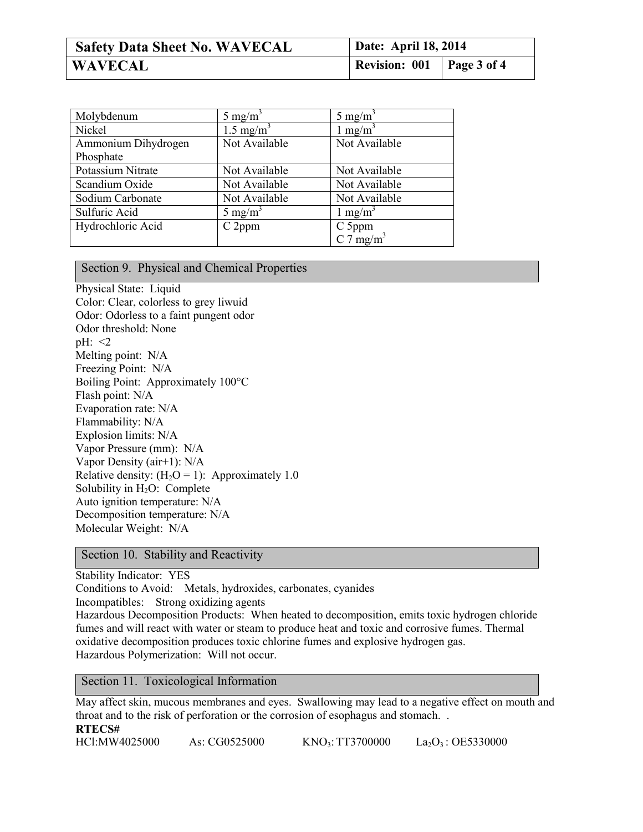| <b>Safety Data Sheet No. WAVECAL</b> | Date: April 18, 2014             |  |
|--------------------------------------|----------------------------------|--|
| <b>WAVECAL</b>                       | <b>Revision: 001 Page 3 of 4</b> |  |

| Molybdenum          | 5 mg/m <sup>3</sup>   | 5 mg/m <sup>3</sup>  |
|---------------------|-----------------------|----------------------|
| Nickel              | 1.5 mg/m <sup>3</sup> | 1 mg/m <sup>3</sup>  |
| Ammonium Dihydrogen | Not Available         | Not Available        |
| Phosphate           |                       |                      |
| Potassium Nitrate   | Not Available         | Not Available        |
| Scandium Oxide      | Not Available         | Not Available        |
| Sodium Carbonate    | Not Available         | Not Available        |
| Sulfuric Acid       | 5 mg/m <sup>3</sup>   | 1 mg/m <sup>3</sup>  |
| Hydrochloric Acid   | C 2ppm                | C 5ppm               |
|                     |                       | C $7 \text{ mg/m}^3$ |

## Section 9. Physical and Chemical Properties

Physical State: Liquid Color: Clear, colorless to grey liwuid Odor: Odorless to a faint pungent odor Odor threshold: None pH: <2 Melting point: N/A Freezing Point: N/A Boiling Point: Approximately 100°C Flash point: N/A Evaporation rate: N/A Flammability: N/A Explosion limits: N/A Vapor Pressure (mm): N/A Vapor Density (air+1): N/A Relative density:  $(H<sub>2</sub>O = 1)$ : Approximately 1.0 Solubility in  $H_2O$ : Complete Auto ignition temperature: N/A Decomposition temperature: N/A Molecular Weight: N/A

Section 10. Stability and Reactivity

Stability Indicator: YES Conditions to Avoid: Metals, hydroxides, carbonates, cyanides Incompatibles: Strong oxidizing agents Hazardous Decomposition Products: When heated to decomposition, emits toxic hydrogen chloride fumes and will react with water or steam to produce heat and toxic and corrosive fumes. Thermal oxidative decomposition produces toxic chlorine fumes and explosive hydrogen gas. Hazardous Polymerization: Will not occur.

Section 11. Toxicological Information

May affect skin, mucous membranes and eyes. Swallowing may lead to a negative effect on mouth and throat and to the risk of perforation or the corrosion of esophagus and stomach. . **RTECS#** HCl:MW4025000 As: CG0525000 KNO<sub>3</sub>: TT3700000 La<sub>2</sub>O<sub>3</sub>: OE5330000